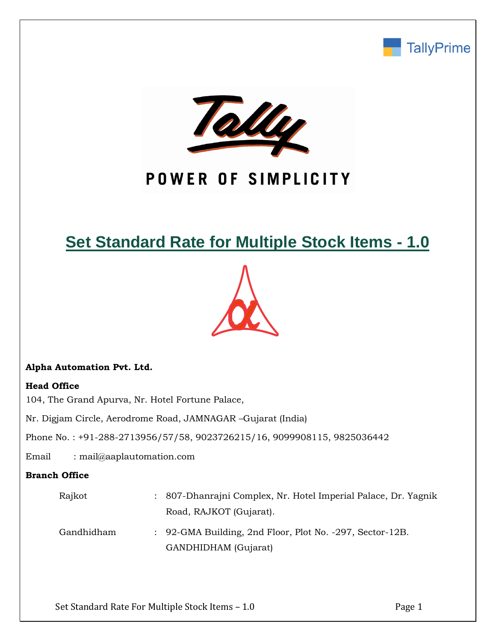



# POWER OF SIMPLICITY

## **Set Standard Rate for Multiple Stock Items - 1.0**



## **Alpha Automation Pvt. Ltd.**

## **Head Office**

104, The Grand Apurva, Nr. Hotel Fortune Palace,

Nr. Digjam Circle, Aerodrome Road, JAMNAGAR –Gujarat (India)

Phone No. : +91-288-2713956/57/58, 9023726215/16, 9099908115, 9825036442

Email : mail@aaplautomation.com

## **Branch Office**

| Rajkot     | : 807-Dhanrajni Complex, Nr. Hotel Imperial Palace, Dr. Yagnik |
|------------|----------------------------------------------------------------|
|            | Road, RAJKOT (Gujarat).                                        |
| Gandhidham | : 92-GMA Building, 2nd Floor, Plot No. -297, Sector-12B.       |
|            | GANDHIDHAM (Gujarat)                                           |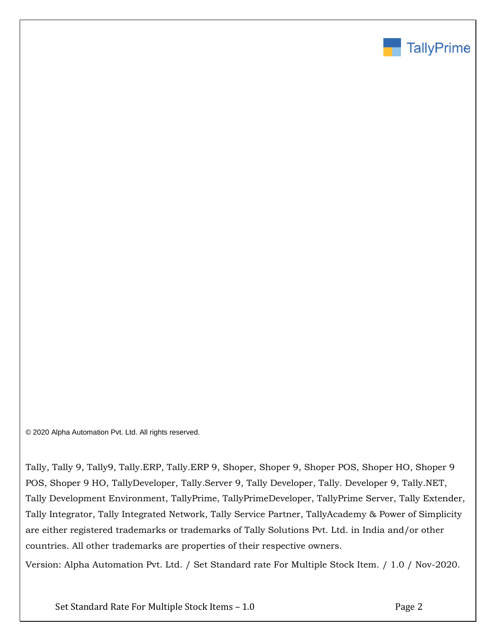

© 2020 Alpha Automation Pvt. Ltd. All rights reserved.

Tally, Tally 9, Tally9, Tally.ERP, Tally.ERP 9, Shoper, Shoper 9, Shoper POS, Shoper HO, Shoper 9 POS, Shoper 9 HO, TallyDeveloper, Tally.Server 9, Tally Developer, Tally. Developer 9, Tally.NET, Tally Development Environment, TallyPrime, TallyPrimeDeveloper, TallyPrime Server, Tally Extender, Tally Integrator, Tally Integrated Network, Tally Service Partner, TallyAcademy & Power of Simplicity are either registered trademarks or trademarks of Tally Solutions Pvt. Ltd. in India and/or other countries. All other trademarks are properties of their respective owners.

Version: Alpha Automation Pvt. Ltd. / Set Standard rate For Multiple Stock Item. / 1.0 / Nov-2020.

Set Standard Rate For Multiple Stock Items – 1.0 Page 2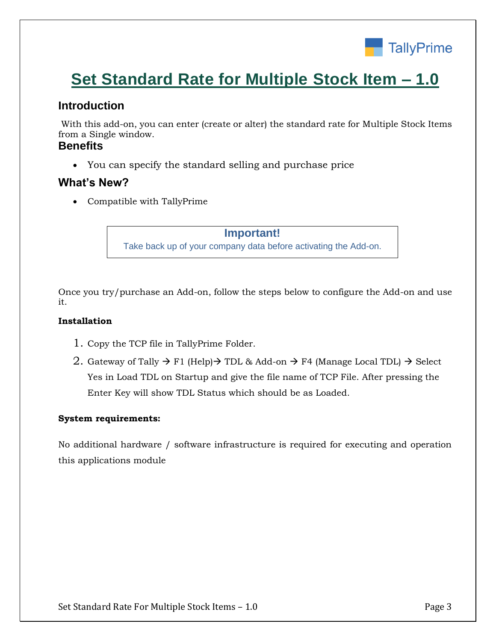

# **Set Standard Rate for Multiple Stock Item – 1.0**

## **Introduction**

With this add-on, you can enter (create or alter) the standard rate for Multiple Stock Items from a Single window.

## **Benefits**

• You can specify the standard selling and purchase price

## **What's New?**

• Compatible with TallyPrime

**Important!** Take back up of your company data before activating the Add-on.

Once you try/purchase an Add-on, follow the steps below to configure the Add-on and use it.

#### **Installation**

- 1. Copy the TCP file in TallyPrime Folder.
- 2. Gateway of Tally  $\rightarrow$  F1 (Help) $\rightarrow$  TDL & Add-on  $\rightarrow$  F4 (Manage Local TDL)  $\rightarrow$  Select Yes in Load TDL on Startup and give the file name of TCP File. After pressing the Enter Key will show TDL Status which should be as Loaded.

#### **System requirements:**

No additional hardware / software infrastructure is required for executing and operation this applications module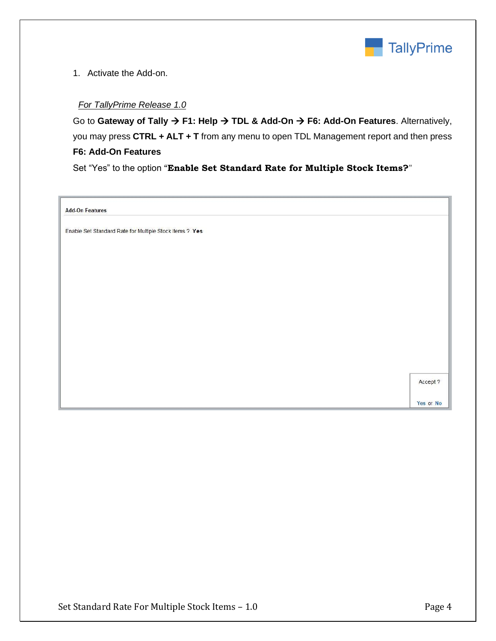

#### 1. Activate the Add-on.

#### *For TallyPrime Release 1.0*

Go to **Gateway of Tally** → **F1: Help** → **TDL & Add-On** → **F6: Add-On Features**. Alternatively, you may press **CTRL + ALT + T** from any menu to open TDL Management report and then press **F6: Add-On Features**

Set "Yes" to the option "**Enable Set Standard Rate for Multiple Stock Items?**"

**Add-On Features** 

Enable Set Standard Rate for Multiple Stock Items ? Yes

Accept ?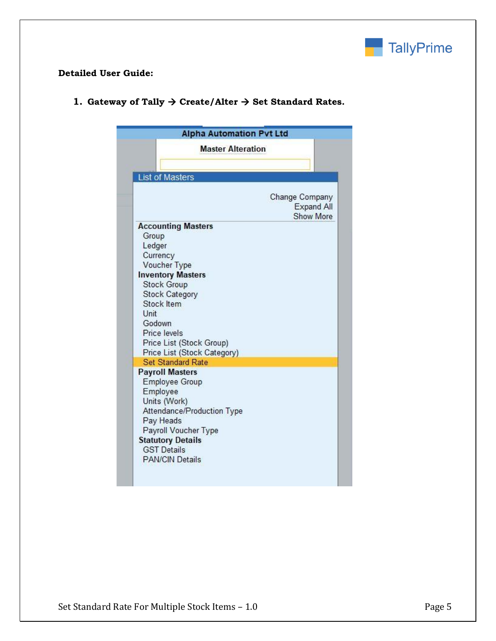

### **Detailed User Guide:**

| <b>Alpha Automation Pvt Ltd</b>                                                                                                                                                                                                                                |                                                         |
|----------------------------------------------------------------------------------------------------------------------------------------------------------------------------------------------------------------------------------------------------------------|---------------------------------------------------------|
| <b>Master Alteration</b>                                                                                                                                                                                                                                       |                                                         |
| <b>List of Masters</b>                                                                                                                                                                                                                                         |                                                         |
|                                                                                                                                                                                                                                                                | Change Company<br><b>Expand All</b><br><b>Show More</b> |
| <b>Accounting Masters</b><br>Group<br>Ledger<br>Currency<br>Voucher Type<br><b>Inventory Masters</b><br><b>Stock Group</b><br><b>Stock Category</b><br>Stock Item<br>Unit<br>Godown<br>Price levels<br>Price List (Stock Group)<br>Price List (Stock Category) |                                                         |
| <b>Set Standard Rate</b><br><b>Payroll Masters</b>                                                                                                                                                                                                             |                                                         |
| <b>Employee Group</b><br>Employee<br>Units (Work)<br>Attendance/Production Type<br>Pay Heads<br>Payroll Voucher Type<br><b>Statutory Details</b><br><b>GST Details</b><br><b>PAN/CIN Details</b>                                                               |                                                         |

**1. Gateway of Tally** → **Create/Alter** → **Set Standard Rates.**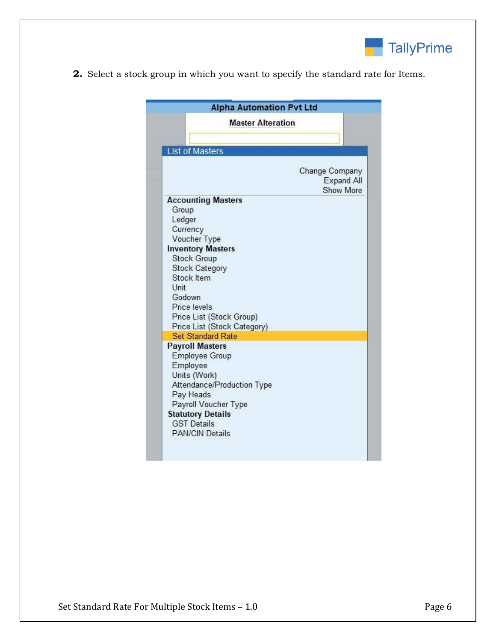

**2.** Select a stock group in which you want to specify the standard rate for Items.

| <b>Master Alteration</b>                                |                                                         |
|---------------------------------------------------------|---------------------------------------------------------|
|                                                         |                                                         |
|                                                         |                                                         |
| <b>List of Masters</b>                                  |                                                         |
|                                                         | Change Company<br><b>Expand All</b><br><b>Show More</b> |
| <b>Accounting Masters</b>                               |                                                         |
| Group                                                   |                                                         |
| Ledger                                                  |                                                         |
| Currency                                                |                                                         |
| Voucher Type<br><b>Inventory Masters</b>                |                                                         |
| <b>Stock Group</b>                                      |                                                         |
| <b>Stock Category</b>                                   |                                                         |
| Stock Item                                              |                                                         |
| Unit                                                    |                                                         |
| Godown                                                  |                                                         |
| Price levels                                            |                                                         |
| Price List (Stock Group)                                |                                                         |
| Price List (Stock Category)<br><b>Set Standard Rate</b> |                                                         |
| <b>Payroll Masters</b>                                  |                                                         |
| <b>Employee Group</b>                                   |                                                         |
| Employee                                                |                                                         |
| Units (Work)                                            |                                                         |
| Attendance/Production Type                              |                                                         |
| Pay Heads                                               |                                                         |
| Payroll Voucher Type                                    |                                                         |
| <b>Statutory Details</b><br><b>GST Details</b>          |                                                         |
| <b>PAN/CIN Details</b>                                  |                                                         |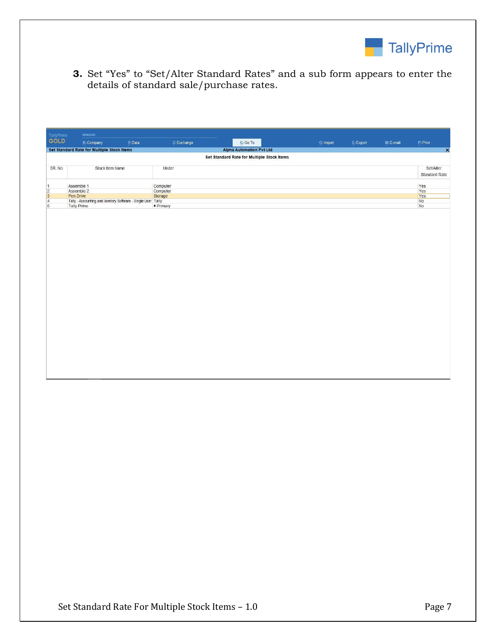

**3.** Set "Yes" to "Set/Alter Standard Rates" and a sub form appears to enter the details of standard sale/purchase rates.

| GOLD           | MANAGE<br>TallyPrime                                         |         |                      |                                            |           |           |             |                         |
|----------------|--------------------------------------------------------------|---------|----------------------|--------------------------------------------|-----------|-----------|-------------|-------------------------|
|                | K: Company                                                   | Y: Data | Z: Exchange          | G: Go To                                   | O: Import | E: Export | $M: E-mail$ | P: Print                |
|                | Set Standard Rate for Multiple Stock Items                   |         |                      | <b>Alpha Automation Pvt Ltd</b>            |           |           |             | $\overline{\mathbf{x}}$ |
|                |                                                              |         |                      | Set Standard Rate for Multiple Stock Items |           |           |             |                         |
| SR. No.        | Stock Item Name                                              |         | Under                |                                            |           |           |             | Set/Alter               |
|                |                                                              |         |                      |                                            |           |           |             | <b>Standard Rate</b>    |
|                |                                                              |         |                      |                                            |           |           |             |                         |
| $\mathbf{1}$   | Assemble 1<br>Assemble 2                                     |         | Computer<br>Computer |                                            |           |           |             | Yes<br>Yes              |
| $\frac{2}{3}$  | Pen Drive                                                    |         | Storage              |                                            |           |           |             | Yes                     |
| $\overline{4}$ | Tally - Accounting and lavetory Software - Single User Tally |         |                      |                                            |           |           |             | <b>No</b>               |
| 5              | <b>Tally Prime</b>                                           |         | + Primary            |                                            |           |           |             | No                      |
|                |                                                              |         |                      |                                            |           |           |             |                         |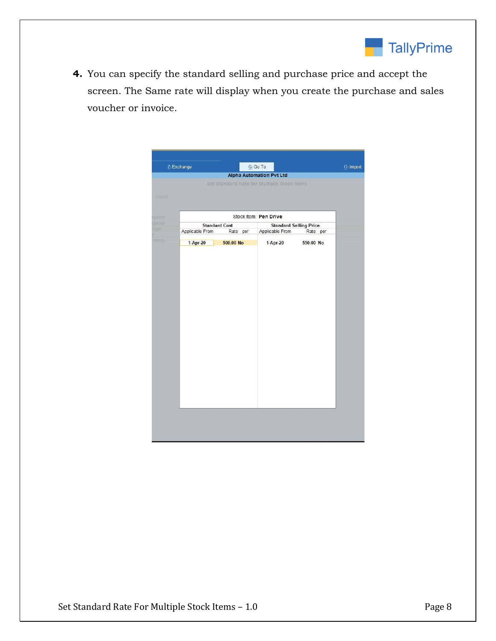

**4.** You can specify the standard selling and purchase price and accept the screen. The Same rate will display when you create the purchase and sales voucher or invoice.

| Z: Exchange |                 |                      | G:GoTo                                     |           | O: Import |
|-------------|-----------------|----------------------|--------------------------------------------|-----------|-----------|
|             |                 |                      | <b>Alpha Automation Pvt Ltd</b>            |           |           |
|             |                 |                      | Set Standard Rate for Multiple Stock Items |           |           |
| Linder      |                 |                      |                                            |           |           |
|             |                 |                      |                                            |           |           |
|             |                 |                      | Stock Item: Pen Drive                      |           |           |
|             |                 | <b>Standard Cost</b> | <b>Standard Selling Price</b>              |           |           |
|             | Applicable From | Rate per             | Applicable From                            | Rate per  |           |
|             | 1-Apr-20        | 500.00 No            | 1-Apr-20                                   | 550.00 No |           |
|             |                 |                      |                                            |           |           |
|             |                 |                      |                                            |           |           |
|             |                 |                      |                                            |           |           |
|             |                 |                      |                                            |           |           |
|             |                 |                      |                                            |           |           |
|             |                 |                      |                                            |           |           |
|             |                 |                      |                                            |           |           |
|             |                 |                      |                                            |           |           |
|             |                 |                      |                                            |           |           |
|             |                 |                      |                                            |           |           |
|             |                 |                      |                                            |           |           |
|             |                 |                      |                                            |           |           |
|             |                 |                      |                                            |           |           |
|             |                 |                      |                                            |           |           |
|             |                 |                      |                                            |           |           |
|             |                 |                      |                                            |           |           |
|             |                 |                      |                                            |           |           |
|             |                 |                      |                                            |           |           |
|             |                 |                      |                                            |           |           |
|             |                 |                      |                                            |           |           |
|             |                 |                      |                                            |           |           |
|             |                 |                      |                                            |           |           |
|             |                 |                      |                                            |           |           |
|             |                 |                      |                                            |           |           |
|             |                 |                      |                                            |           |           |
|             |                 |                      |                                            |           |           |
|             |                 |                      |                                            |           |           |
|             |                 |                      |                                            |           |           |
|             |                 |                      |                                            |           |           |
|             |                 |                      |                                            |           |           |
|             |                 |                      |                                            |           |           |
|             |                 |                      |                                            |           |           |
|             |                 |                      |                                            |           |           |
|             |                 |                      |                                            |           |           |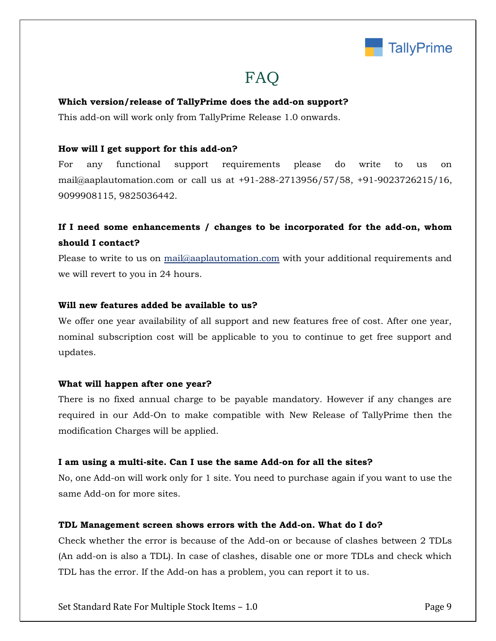

## **FAQ**

#### **Which version/release of TallyPrime does the add-on support?**

This add-on will work only from TallyPrime Release 1.0 onwards.

#### **How will I get support for this add-on?**

For any functional support requirements please do write to us on mail@aaplautomation.com or call us at +91-288-2713956/57/58, +91-9023726215/16, 9099908115, 9825036442.

## **If I need some enhancements / changes to be incorporated for the add-on, whom should I contact?**

Please to write to us on mail@aaplautomation.com with your additional requirements and we will revert to you in 24 hours.

#### **Will new features added be available to us?**

We offer one year availability of all support and new features free of cost. After one year, nominal subscription cost will be applicable to you to continue to get free support and updates.

#### **What will happen after one year?**

There is no fixed annual charge to be payable mandatory. However if any changes are required in our Add-On to make compatible with New Release of TallyPrime then the modification Charges will be applied.

#### **I am using a multi-site. Can I use the same Add-on for all the sites?**

No, one Add-on will work only for 1 site. You need to purchase again if you want to use the same Add-on for more sites.

#### **TDL Management screen shows errors with the Add-on. What do I do?**

Check whether the error is because of the Add-on or because of clashes between 2 TDLs (An add-on is also a TDL). In case of clashes, disable one or more TDLs and check which TDL has the error. If the Add-on has a problem, you can report it to us.